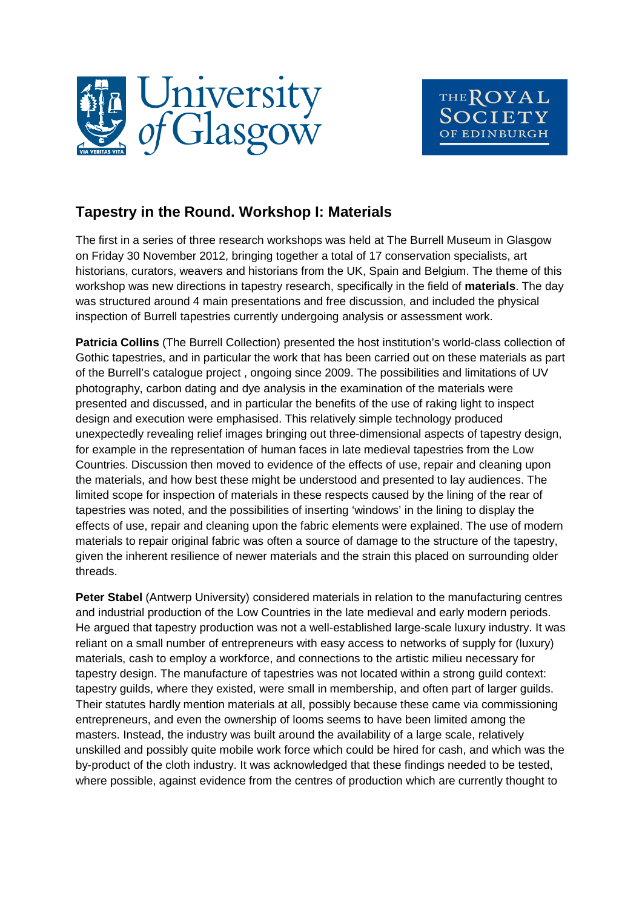



## **Tapestry in the Round. Workshop I: Materials**

The first in a series of three research workshops was held at The Burrell Museum in Glasgow on Friday 30 November 2012, bringing together a total of 17 conservation specialists, art historians, curators, weavers and historians from the UK, Spain and Belgium. The theme of this workshop was new directions in tapestry research, specifically in the field of **materials**. The day was structured around 4 main presentations and free discussion, and included the physical inspection of Burrell tapestries currently undergoing analysis or assessment work.

**Patricia Collins** (The Burrell Collection) presented the host institution's world-class collection of Gothic tapestries, and in particular the work that has been carried out on these materials as part of the Burrell's catalogue project , ongoing since 2009. The possibilities and limitations of UV photography, carbon dating and dye analysis in the examination of the materials were presented and discussed, and in particular the benefits of the use of raking light to inspect design and execution were emphasised. This relatively simple technology produced unexpectedly revealing relief images bringing out three-dimensional aspects of tapestry design, for example in the representation of human faces in late medieval tapestries from the Low Countries. Discussion then moved to evidence of the effects of use, repair and cleaning upon the materials, and how best these might be understood and presented to lay audiences. The limited scope for inspection of materials in these respects caused by the lining of the rear of tapestries was noted, and the possibilities of inserting 'windows' in the lining to display the effects of use, repair and cleaning upon the fabric elements were explained. The use of modern materials to repair original fabric was often a source of damage to the structure of the tapestry, given the inherent resilience of newer materials and the strain this placed on surrounding older threads.

**Peter Stabel** (Antwerp University) considered materials in relation to the manufacturing centres and industrial production of the Low Countries in the late medieval and early modern periods. He argued that tapestry production was not a well-established large-scale luxury industry. It was reliant on a small number of entrepreneurs with easy access to networks of supply for (luxury) materials, cash to employ a workforce, and connections to the artistic milieu necessary for tapestry design. The manufacture of tapestries was not located within a strong guild context: tapestry guilds, where they existed, were small in membership, and often part of larger guilds. Their statutes hardly mention materials at all, possibly because these came via commissioning entrepreneurs, and even the ownership of looms seems to have been limited among the masters. Instead, the industry was built around the availability of a large scale, relatively unskilled and possibly quite mobile work force which could be hired for cash, and which was the by-product of the cloth industry. It was acknowledged that these findings needed to be tested, where possible, against evidence from the centres of production which are currently thought to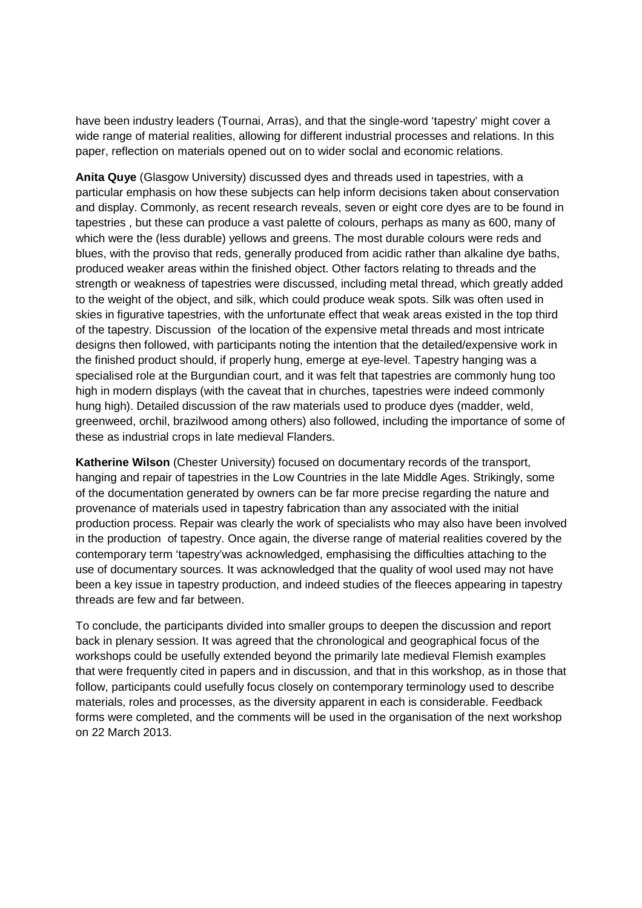have been industry leaders (Tournai, Arras), and that the single-word 'tapestry' might cover a wide range of material realities, allowing for different industrial processes and relations. In this paper, reflection on materials opened out on to wider soclal and economic relations.

**Anita Quye** (Glasgow University) discussed dyes and threads used in tapestries, with a particular emphasis on how these subjects can help inform decisions taken about conservation and display. Commonly, as recent research reveals, seven or eight core dyes are to be found in tapestries , but these can produce a vast palette of colours, perhaps as many as 600, many of which were the (less durable) yellows and greens. The most durable colours were reds and blues, with the proviso that reds, generally produced from acidic rather than alkaline dye baths, produced weaker areas within the finished object. Other factors relating to threads and the strength or weakness of tapestries were discussed, including metal thread, which greatly added to the weight of the object, and silk, which could produce weak spots. Silk was often used in skies in figurative tapestries, with the unfortunate effect that weak areas existed in the top third of the tapestry. Discussion of the location of the expensive metal threads and most intricate designs then followed, with participants noting the intention that the detailed/expensive work in the finished product should, if properly hung, emerge at eye-level. Tapestry hanging was a specialised role at the Burgundian court, and it was felt that tapestries are commonly hung too high in modern displays (with the caveat that in churches, tapestries were indeed commonly hung high). Detailed discussion of the raw materials used to produce dyes (madder, weld, greenweed, orchil, brazilwood among others) also followed, including the importance of some of these as industrial crops in late medieval Flanders.

**Katherine Wilson** (Chester University) focused on documentary records of the transport, hanging and repair of tapestries in the Low Countries in the late Middle Ages. Strikingly, some of the documentation generated by owners can be far more precise regarding the nature and provenance of materials used in tapestry fabrication than any associated with the initial production process. Repair was clearly the work of specialists who may also have been involved in the production of tapestry. Once again, the diverse range of material realities covered by the contemporary term 'tapestry'was acknowledged, emphasising the difficulties attaching to the use of documentary sources. It was acknowledged that the quality of wool used may not have been a key issue in tapestry production, and indeed studies of the fleeces appearing in tapestry threads are few and far between.

To conclude, the participants divided into smaller groups to deepen the discussion and report back in plenary session. It was agreed that the chronological and geographical focus of the workshops could be usefully extended beyond the primarily late medieval Flemish examples that were frequently cited in papers and in discussion, and that in this workshop, as in those that follow, participants could usefully focus closely on contemporary terminology used to describe materials, roles and processes, as the diversity apparent in each is considerable. Feedback forms were completed, and the comments will be used in the organisation of the next workshop on 22 March 2013.